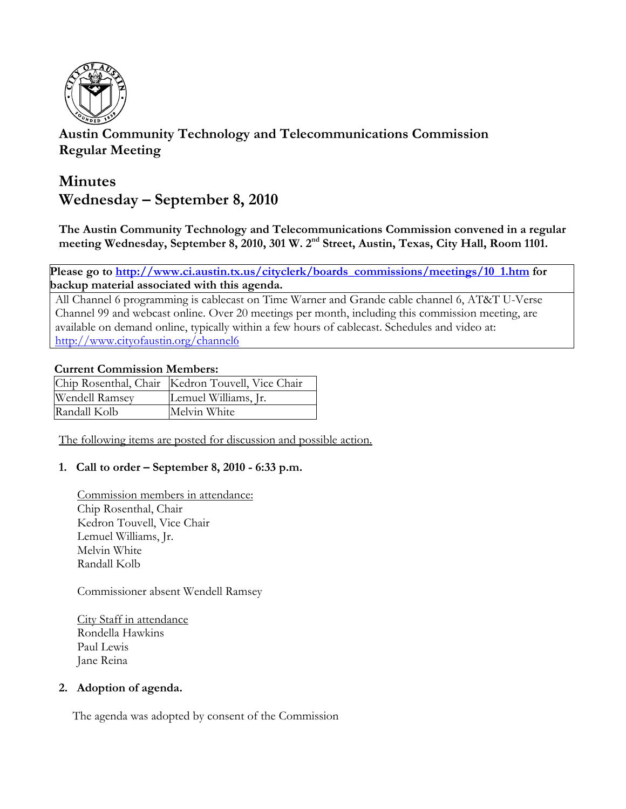

# **Austin Community Technology and Telecommunications Commission Regular Meeting**

# **Minutes Wednesday – September 8, 2010**

**The Austin Community Technology and Telecommunications Commission convened in a regular**  meeting Wednesday, September 8, 2010, 301 W. 2<sup>nd</sup> Street, Austin, Texas, City Hall, Room 1101.

**Please go to http://www.ci.austin.tx.us/cityclerk/boards\_commissions/meetings/10\_1.htm for backup material associated with this agenda.**

All Channel 6 programming is cablecast on Time Warner and Grande cable channel 6, AT&T U-Verse Channel 99 and webcast online. Over 20 meetings per month, including this commission meeting, are available on demand online, typically within a few hours of cablecast. Schedules and video at: http://www.cityofaustin.org/channel6

# **Current Commission Members:**

|                | Chip Rosenthal, Chair   Kedron Touvell, Vice Chair |
|----------------|----------------------------------------------------|
| Wendell Ramsey | Lemuel Williams, Jr.                               |
| Randall Kolb   | Melvin White                                       |

The following items are posted for discussion and possible action.

# **1. Call to order – September 8, 2010 - 6:33 p.m.**

Commission members in attendance: Chip Rosenthal, Chair Kedron Touvell, Vice Chair Lemuel Williams, Jr. Melvin White Randall Kolb

Commissioner absent Wendell Ramsey

City Staff in attendance Rondella Hawkins Paul Lewis Jane Reina

#### **2. Adoption of agenda.**

The agenda was adopted by consent of the Commission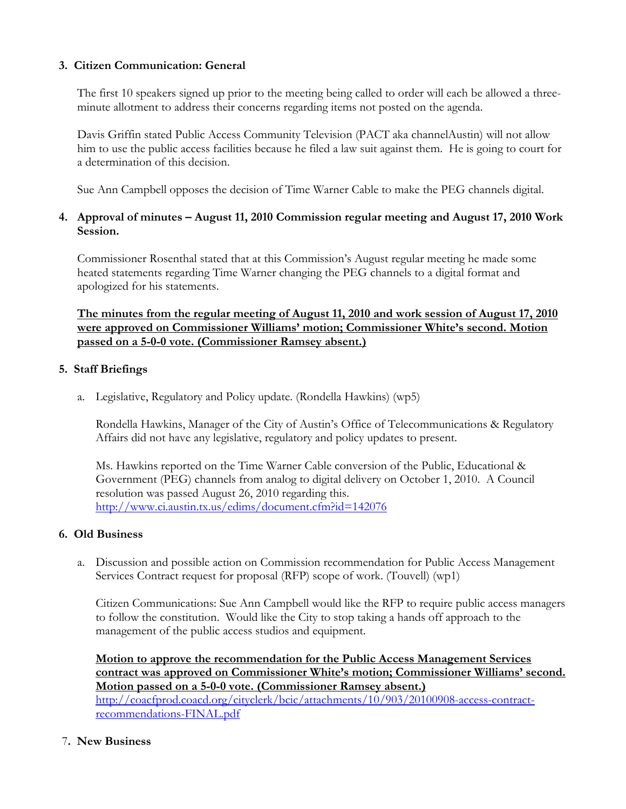#### **3. Citizen Communication: General**

The first 10 speakers signed up prior to the meeting being called to order will each be allowed a threeminute allotment to address their concerns regarding items not posted on the agenda.

Davis Griffin stated Public Access Community Television (PACT aka channelAustin) will not allow him to use the public access facilities because he filed a law suit against them. He is going to court for a determination of this decision.

Sue Ann Campbell opposes the decision of Time Warner Cable to make the PEG channels digital.

# **4. Approval of minutes – August 11, 2010 Commission regular meeting and August 17, 2010 Work Session.**

Commissioner Rosenthal stated that at this Commission's August regular meeting he made some heated statements regarding Time Warner changing the PEG channels to a digital format and apologized for his statements.

**The minutes from the regular meeting of August 11, 2010 and work session of August 17, 2010 were approved on Commissioner Williams' motion; Commissioner White's second. Motion passed on a 5-0-0 vote. (Commissioner Ramsey absent.)**

# **5. Staff Briefings**

a. Legislative, Regulatory and Policy update. (Rondella Hawkins) (wp5)

Rondella Hawkins, Manager of the City of Austin's Office of Telecommunications & Regulatory Affairs did not have any legislative, regulatory and policy updates to present.

Ms. Hawkins reported on the Time Warner Cable conversion of the Public, Educational & Government (PEG) channels from analog to digital delivery on October 1, 2010. A Council resolution was passed August 26, 2010 regarding this. http://www.ci.austin.tx.us/edims/document.cfm?id=142076

#### **6. Old Business**

a. Discussion and possible action on Commission recommendation for Public Access Management Services Contract request for proposal (RFP) scope of work. (Touvell) (wp1)

Citizen Communications: Sue Ann Campbell would like the RFP to require public access managers to follow the constitution. Would like the City to stop taking a hands off approach to the management of the public access studios and equipment.

**Motion to approve the recommendation for the Public Access Management Services contract was approved on Commissioner White's motion; Commissioner Williams' second. Motion passed on a 5-0-0 vote. (Commissioner Ramsey absent.)** http://coacfprod.coacd.org/cityclerk/bcic/attachments/10/903/20100908-access-contractrecommendations-FINAL.pdf

#### 7**. New Business**